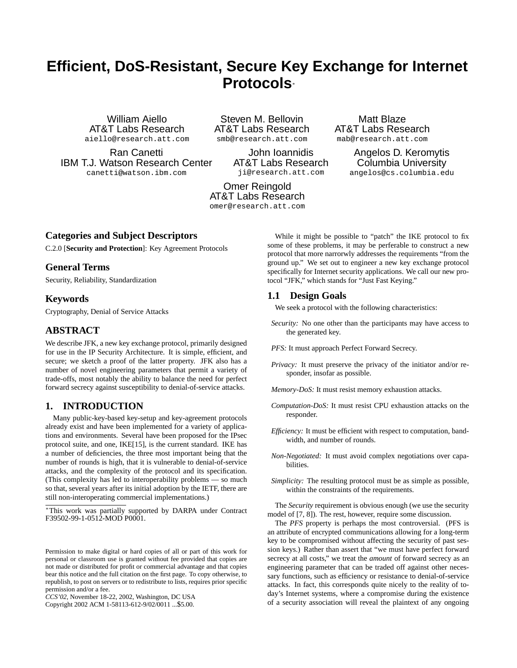# **Efficient, DoS-Resistant, Secure Key Exchange for Internet Protocols**<sup>∗</sup>

William Aiello AT&T Labs Research aiello@research.att.com

Ran Canetti IBM T.J. Watson Research Center canetti@watson.ibm.com

Steven M. Bellovin AT&T Labs Research smb@research.att.com

> John Ioannidis AT&T Labs Research ji@research.att.com

Matt Blaze AT&T Labs Research mab@research.att.com

> Angelos D. Keromytis Columbia University angelos@cs.columbia.edu

Omer Reingold AT&T Labs Research omer@research.att.com

# **Categories and Subject Descriptors**

C.2.0 [**Security and Protection**]: Key Agreement Protocols

#### **General Terms**

Security, Reliability, Standardization

# **Keywords**

Cryptography, Denial of Service Attacks

# **ABSTRACT**

We describe JFK, a new key exchange protocol, primarily designed for use in the IP Security Architecture. It is simple, efficient, and secure; we sketch a proof of the latter property. JFK also has a number of novel engineering parameters that permit a variety of trade-offs, most notably the ability to balance the need for perfect forward secrecy against susceptibility to denial-of-service attacks.

# **1. INTRODUCTION**

Many public-key-based key-setup and key-agreement protocols already exist and have been implemented for a variety of applications and environments. Several have been proposed for the IPsec protocol suite, and one, IKE[15], is the current standard. IKE has a number of deficiencies, the three most important being that the number of rounds is high, that it is vulnerable to denial-of-service attacks, and the complexity of the protocol and its specification. (This complexity has led to interoperability problems — so much so that, several years after its initial adoption by the IETF, there are still non-interoperating commercial implementations.)

Copyright 2002 ACM 1-58113-612-9/02/0011 ...\$5.00.

While it might be possible to "patch" the IKE protocol to fix some of these problems, it may be perferable to construct a new protocol that more narrorwly addresses the requirements "from the ground up." We set out to engineer a new key exchange protocol specifically for Internet security applications. We call our new protocol "JFK," which stands for "Just Fast Keying."

#### **1.1 Design Goals**

We seek a protocol with the following characteristics:

- *Security:* No one other than the participants may have access to the generated key.
- *PFS:* It must approach Perfect Forward Secrecy.
- *Privacy:* It must preserve the privacy of the initiator and/or responder, insofar as possible.
- *Memory-DoS:* It must resist memory exhaustion attacks.
- *Computation-DoS:* It must resist CPU exhaustion attacks on the responder.
- *Efficiency:* It must be efficient with respect to computation, bandwidth, and number of rounds.
- *Non-Negotiated:* It must avoid complex negotiations over capabilities.
- *Simplicity:* The resulting protocol must be as simple as possible, within the constraints of the requirements.

The *Security* requirement is obvious enough (we use the security model of [7, 8]). The rest, however, require some discussion.

The *PFS* property is perhaps the most controversial. (PFS is an attribute of encrypted communications allowing for a long-term key to be compromised without affecting the security of past session keys.) Rather than assert that "we must have perfect forward secrecy at all costs," we treat the *amount* of forward secrecy as an engineering parameter that can be traded off against other necessary functions, such as efficiency or resistance to denial-of-service attacks. In fact, this corresponds quite nicely to the reality of today's Internet systems, where a compromise during the existence of a security association will reveal the plaintext of any ongoing

<sup>∗</sup>This work was partially supported by DARPA under Contract F39502-99-1-0512-MOD P0001.

Permission to make digital or hard copies of all or part of this work for personal or classroom use is granted without fee provided that copies are not made or distributed for profit or commercial advantage and that copies bear this notice and the full citation on the first page. To copy otherwise, to republish, to post on servers or to redistribute to lists, requires prior specific permission and/or a fee.

*CCS'02,* November 18-22, 2002, Washington, DC USA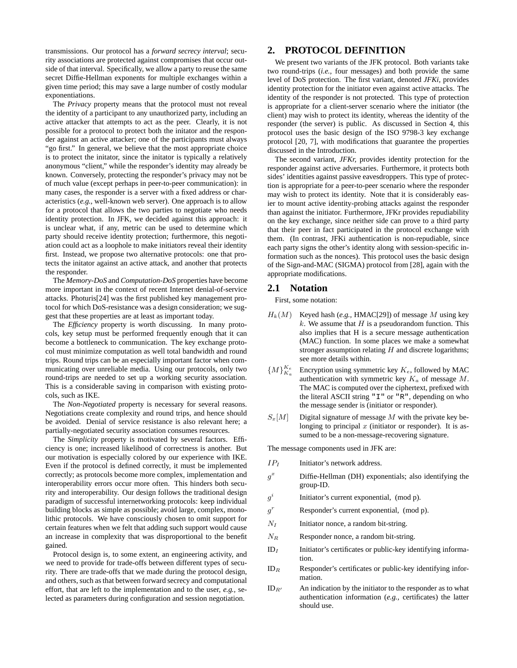transmissions. Our protocol has a *forward secrecy interval*; security associations are protected against compromises that occur outside of that interval. Specifically, we allow a party to reuse the same secret Diffie-Hellman exponents for multiple exchanges within a given time period; this may save a large number of costly modular exponentiations.

The *Privacy* property means that the protocol must not reveal the identity of a participant to any unauthorized party, including an active attacker that attempts to act as the peer. Clearly, it is not possible for a protocol to protect both the initator and the responder against an active attacker; one of the participants must always "go first." In general, we believe that the most appropriate choice is to protect the initator, since the initator is typically a relatively anonymous "client," while the responder's identity may already be known. Conversely, protecting the responder's privacy may not be of much value (except perhaps in peer-to-peer communication): in many cases, the responder is a server with a fixed address or characteristics (*e.g.,* well-known web server). One approach is to allow for a protocol that allows the two parties to negotiate who needs identity protection. In JFK, we decided against this approach: it is unclear what, if any, metric can be used to determine which party should receive identity protection; furthermore, this negotiation could act as a loophole to make initiators reveal their identity first. Instead, we propose two alternative protocols: one that protects the initator against an active attack, and another that protects the responder.

The *Memory-DoS* and *Computation-DoS* properties have become more important in the context of recent Internet denial-of-service attacks. Photuris[24] was the first published key management protocol for which DoS-resistance was a design consideration; we suggest that these properties are at least as important today.

The *Efficiency* property is worth discussing. In many protocols, key setup must be performed frequently enough that it can become a bottleneck to communication. The key exchange protocol must minimize computation as well total bandwidth and round trips. Round trips can be an especially important factor when communicating over unreliable media. Using our protocols, only two round-trips are needed to set up a working security association. This is a considerable saving in comparison with existing protocols, such as IKE.

The *Non-Negotiated* property is necessary for several reasons. Negotiations create complexity and round trips, and hence should be avoided. Denial of service resistance is also relevant here; a partially-negotiated security association consumes resources.

The *Simplicity* property is motivated by several factors. Efficiency is one; increased likelihood of correctness is another. But our motivation is especially colored by our experience with IKE. Even if the protocol is defined correctly, it must be implemented correctly; as protocols become more complex, implementation and interoperability errors occur more often. This hinders both security and interoperability. Our design follows the traditional design paradigm of successful internetworking protocols: keep individual building blocks as simple as possible; avoid large, complex, monolithic protocols. We have consciously chosen to omit support for certain features when we felt that adding such support would cause an increase in complexity that was disproportional to the benefit gained.

Protocol design is, to some extent, an engineering activity, and we need to provide for trade-offs between different types of security. There are trade-offs that we made during the protocol design, and others, such as that between forward secrecy and computational effort, that are left to the implementation and to the user, *e.g.,* selected as parameters during configuration and session negotiation.

#### **2. PROTOCOL DEFINITION**

We present two variants of the JFK protocol. Both variants take two round-trips (*i.e.,* four messages) and both provide the same level of DoS protection. The first variant, denoted *JFKi,* provides identity protection for the initiator even against active attacks. The identity of the responder is not protected. This type of protection is appropriate for a client-server scenario where the initiator (the client) may wish to protect its identity, whereas the identity of the responder (the server) is public. As discussed in Section 4, this protocol uses the basic design of the ISO 9798-3 key exchange protocol [20, 7], with modifications that guarantee the properties discussed in the Introduction.

The second variant, *JFKr,* provides identity protection for the responder against active adversaries. Furthermore, it protects both sides' identities against passive eavesdroppers. This type of protection is appropriate for a peer-to-peer scenario where the responder may wish to protect its identity. Note that it is considerably easier to mount active identity-probing attacks against the responder than against the initiator. Furthermore, JFKr provides repudiability on the key exchange, since neither side can prove to a third party that their peer in fact participated in the protocol exchange with them. (In contrast, JFKi authentication is non-repudiable, since each party signs the other's identity along with session-specific information such as the nonces). This protocol uses the basic design of the Sign-and-MAC (SIGMA) protocol from [28], again with the appropriate modifications.

## **2.1 Notation**

First, some notation:

- $H_k(M)$  Keyed hash (*e.g.,* HMAC[29]) of message M using key  $k$ . We assume that  $H$  is a pseudorandom function. This also implies that H is a secure message authentication (MAC) function. In some places we make a somewhat stronger assumption relating  $H$  and discrete logarithms; see more details within.
- ${M}_{K_a}^{K_e}$  Encryption using symmetric key  $K_e$ , followed by MAC authentication with symmetric key  $K_a$  of message M. The MAC is computed over the ciphertext, prefixed with the literal ASCII string "I" or "R", depending on who the message sender is (initiator or responder).
- $S_x[M]$  Digital signature of message M with the private key belonging to principal  $x$  (initiator or responder). It is assumed to be a non-message-recovering signature.

The message components used in JFK are:

- $IP<sub>I</sub>$  Initiator's network address.
- $q^x$ Diffie-Hellman (DH) exponentials; also identifying the group-ID.
- $g^i$ Initiator's current exponential, (mod p).
- $g^r$ Responder's current exponential, (mod p).
- $N_I$  Initiator nonce, a random bit-string.
- $N_R$  Responder nonce, a random bit-string.
- $ID<sub>I</sub>$  Initiator's certificates or public-key identifying information.
- $ID_R$  Responder's certificates or public-key identifying information.
- $ID_{R'}$  An indication by the initiator to the responder as to what authentication information (*e.g.,* certificates) the latter should use.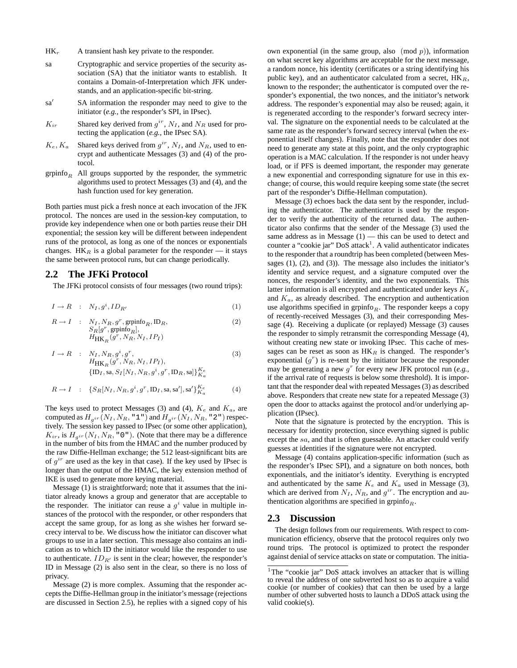- $HK_r$  A transient hash key private to the responder.
- sa Cryptographic and service properties of the security association (SA) that the initiator wants to establish. It contains a Domain-of-Interpretation which JFK understands, and an application-specific bit-string.
- sa' SA information the responder may need to give to the initiator (*e.g.,* the responder's SPI, in IPsec).
- $K_{ir}$  Shared key derived from  $g^{ir}$ ,  $N_I$ , and  $N_R$  used for protecting the application (*e.g.,* the IPsec SA).
- $K_e, K_a$  Shared keys derived from  $g^{ir}$ ,  $N_I$ , and  $N_R$ , used to encrypt and authenticate Messages (3) and (4) of the protocol.
- grpinfo<sub>R</sub> All groups supported by the responder, the symmetric algorithms used to protect Messages (3) and (4), and the hash function used for key generation.

Both parties must pick a fresh nonce at each invocation of the JFK protocol. The nonces are used in the session-key computation, to provide key independence when one or both parties reuse their DH exponential; the session key will be different between independent runs of the protocol, as long as one of the nonces or exponentials changes.  $HK_R$  is a global parameter for the responder — it stays the same between protocol runs, but can change periodically.

#### **2.2 The JFKi Protocol**

The JFKi protocol consists of four messages (two round trips):

$$
I \to R \quad : \quad N_I, g^i, ID_{R'} \tag{1}
$$

$$
R \to I : N_I, N_R, g^r, \text{gppinfo}_R, \text{ID}_R,
$$
  
\n
$$
S_R[g^r, \text{gppinfo}_R],
$$
  
\n
$$
H_{\text{HK}_R}(g^r, N_R, N_I, IP_I)
$$
  
\n(2)

$$
I \to R : N_I, N_R, g^i, g^r,
$$
  
\n
$$
H_{HK_R}(g^r, N_R, N_I, IP_I),
$$
  
\n
$$
{\{\text{ID}_I, \text{sa}, S_I[N_I, N_R, g^i, g^r, \text{ID}_R, \text{sa}]\}}_{K_a}^{K_e}
$$
\n(3)

$$
R\rightarrow I\quad:\quad \{S_R[N_I,N_R,g^i,g^r,\mathrm{ID}_I,\mathrm{sa},\mathrm{sa}'],\mathrm{sa}'\}_{K_\alpha}^{K_e}\tag{4}
$$

The keys used to protect Messages (3) and (4),  $K_e$  and  $K_a$ , are computed as  $H_{gir}(N_I, N_R, "1")$  and  $H_{gir}(N_I, N_R, "2")$  respectively. The session key passed to IPsec (or some other application),  $K_{ir}$ , is  $H_{qir}(N_I, N_R, "0")$ . (Note that there may be a difference in the number of bits from the HMAC and the number produced by the raw Diffie-Hellman exchange; the 512 least-significant bits are of  $g^{ir}$  are used as the key in that case). If the key used by IPsec is longer than the output of the HMAC, the key extension method of IKE is used to generate more keying material.

Message (1) is straightforward; note that it assumes that the initiator already knows a group and generator that are acceptable to the responder. The initiator can reuse a  $g^i$  value in multiple instances of the protocol with the responder, or other responders that accept the same group, for as long as she wishes her forward secrecy interval to be. We discuss how the initiator can discover what groups to use in a later section. This message also contains an indication as to which ID the initiator would like the responder to use to authenticate.  $ID_{R'}$  is sent in the clear; however, the responder's ID in Message (2) is also sent in the clear, so there is no loss of privacy.

Message (2) is more complex. Assuming that the responder accepts the Diffie-Hellman group in the initiator's message (rejections are discussed in Section 2.5), he replies with a signed copy of his own exponential (in the same group, also  $(mod p)$ ), information on what secret key algorithms are acceptable for the next message, a random nonce, his identity (certificates or a string identifying his public key), and an authenticator calculated from a secret,  $HK<sub>R</sub>$ , known to the responder; the authenticator is computed over the responder's exponential, the two nonces, and the initiator's network address. The responder's exponential may also be reused; again, it is regenerated according to the responder's forward secrecy interval. The signature on the exponential needs to be calculated at the same rate as the responder's forward secrecy interval (when the exponential itself changes). Finally, note that the responder does not need to generate any state at this point, and the only cryptographic operation is a MAC calculation. If the responder is not under heavy load, or if PFS is deemed important, the responder may generate a new exponential and corresponding signature for use in this exchange; of course, this would require keeping some state (the secret part of the responder's Diffie-Hellman computation).

Message (3) echoes back the data sent by the responder, including the authenticator. The authenticator is used by the responder to verify the authenticity of the returned data. The authenticator also confirms that the sender of the Message (3) used the same address as in Message (1) — this can be used to detect and counter a "cookie jar" DoS attack<sup>1</sup>. A valid authenticator indicates to the responder that a roundtrip has been completed (between Messages  $(1)$ ,  $(2)$ , and  $(3)$ ). The message also includes the initiator's identity and service request, and a signature computed over the nonces, the responder's identity, and the two exponentials. This latter information is all encrypted and authenticated under keys  $K_e$ and  $K_a$ , as already described. The encryption and authentication use algorithms specified in grpinfo $_R$ . The responder keeps a copy of recently-received Messages (3), and their corresponding Message (4). Receiving a duplicate (or replayed) Message (3) causes the responder to simply retransmit the corresponding Message (4), without creating new state or invoking IPsec. This cache of messages can be reset as soon as  $HK_R$  is changed. The responder's exponential  $(g<sup>r</sup>)$  is re-sent by the initiator because the responder may be generating a new  $g^r$  for every new JFK protocol run (e.g., if the arrival rate of requests is below some threshold). It is important that the responder deal with repeated Messages (3) as described above. Responders that create new state for a repeated Message (3) open the door to attacks against the protocol and/or underlying application (IPsec).

Note that the signature is protected by the encryption. This is necessary for identity protection, since everything signed is public except the sa, and that is often guessable. An attacker could verify guesses at identities if the signature were not encrypted.

Message (4) contains application-specific information (such as the responder's IPsec SPI), and a signature on both nonces, both exponentials, and the initiator's identity. Everything is encrypted and authenticated by the same  $K_e$  and  $K_a$  used in Message (3), which are derived from  $N_I$ ,  $N_R$ , and  $g^{ir}$ . The encryption and authentication algorithms are specified in grpinfo $<sub>R</sub>$ .</sub>

#### **2.3 Discussion**

The design follows from our requirements. With respect to communication efficiency, observe that the protocol requires only two round trips. The protocol is optimized to protect the responder against denial of service attacks on state or computation. The initia-

<sup>&</sup>lt;sup>1</sup>The "cookie jar" DoS attack involves an attacker that is willing to reveal the address of one subverted host so as to acquire a valid cookie (or number of cookies) that can then be used by a large number of other subverted hosts to launch a DDoS attack using the valid cookie(s).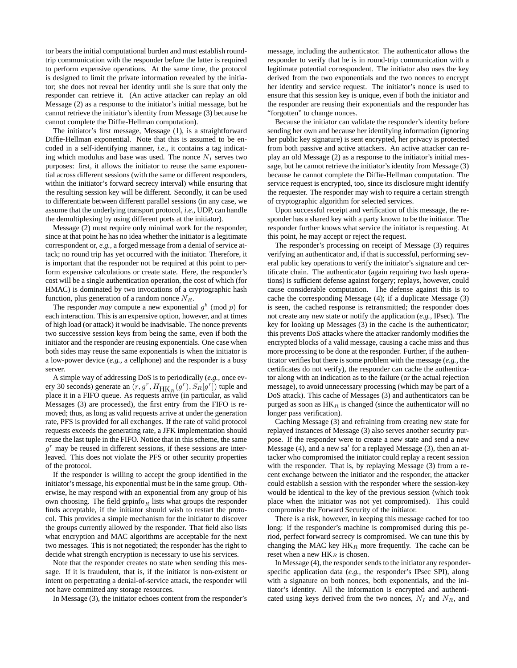tor bears the initial computational burden and must establish roundtrip communication with the responder before the latter is required to perform expensive operations. At the same time, the protocol is designed to limit the private information revealed by the initiator; she does not reveal her identity until she is sure that only the responder can retrieve it. (An active attacker can replay an old Message (2) as a response to the initiator's initial message, but he cannot retrieve the initiator's identity from Message (3) because he cannot complete the Diffie-Hellman computation).

The initiator's first message, Message (1), is a straightforward Diffie-Hellman exponential. Note that this is assumed to be encoded in a self-identifying manner, *i.e.,* it contains a tag indicating which modulus and base was used. The nonce  $N_I$  serves two purposes: first, it allows the initiator to reuse the same exponential across different sessions (with the same or different responders, within the initiator's forward secrecy interval) while ensuring that the resulting session key will be different. Secondly, it can be used to differentiate between different parallel sessions (in any case, we assume that the underlying transport protocol, *i.e.,* UDP, can handle the demultiplexing by using different ports at the initiator).

Message (2) must require only minimal work for the responder, since at that point he has no idea whether the initiator is a legitimate correspondent or, *e.g.,* a forged message from a denial of service attack; no round trip has yet occurred with the initiator. Therefore, it is important that the responder not be required at this point to perform expensive calculations or create state. Here, the responder's cost will be a single authentication operation, the cost of which (for HMAC) is dominated by two invocations of a cryptographic hash function, plus generation of a random nonce  $N_R$ .

The responder *may* compute a new exponential  $g<sup>b</sup>$  (mod  $p$ ) for each interaction. This is an expensive option, however, and at times of high load (or attack) it would be inadvisable. The nonce prevents two successive session keys from being the same, even if both the initiator and the responder are reusing exponentials. One case when both sides may reuse the same exponentials is when the initiator is a low-power device (*e.g.,* a cellphone) and the responder is a busy server.

A simple way of addressing DoS is to periodically (*e.g.,* once every 30 seconds) generate an  $(r, g^r, H_{\text{HK}_R}(g^r), S_R[g^r])$  tuple and place it in a FIFO queue. As requests arrive (in particular, as valid Messages (3) are processed), the first entry from the FIFO is removed; thus, as long as valid requests arrive at under the generation rate, PFS is provided for all exchanges. If the rate of valid protocol requests exceeds the generating rate, a JFK implementation should reuse the last tuple in the FIFO. Notice that in this scheme, the same  $g<sup>r</sup>$  may be reused in different sessions, if these sessions are interleaved. This does not violate the PFS or other security properties of the protocol.

If the responder is willing to accept the group identified in the initiator's message, his exponential must be in the same group. Otherwise, he may respond with an exponential from any group of his own choosing. The field grpinfo<sub>R</sub> lists what groups the responder finds acceptable, if the initiator should wish to restart the protocol. This provides a simple mechanism for the initiator to discover the groups currently allowed by the responder. That field also lists what encryption and MAC algorithms are acceptable for the next two messages. This is not negotiated; the responder has the right to decide what strength encryption is necessary to use his services.

Note that the responder creates no state when sending this message. If it is fraudulent, that is, if the initiator is non-existent or intent on perpetrating a denial-of-service attack, the responder will not have committed any storage resources.

In Message (3), the initiator echoes content from the responder's

message, including the authenticator. The authenticator allows the responder to verify that he is in round-trip communication with a legitimate potential correspondent. The initiator also uses the key derived from the two exponentials and the two nonces to encrypt her identity and service request. The initiator's nonce is used to ensure that this session key is unique, even if both the initiator and the responder are reusing their exponentials and the responder has "forgotten" to change nonces.

Because the initiator can validate the responder's identity before sending her own and because her identifying information (ignoring her public key signature) is sent encrypted, her privacy is protected from both passive and active attackers. An active attacker can replay an old Message (2) as a response to the initiator's initial message, but he cannot retrieve the initiator's identity from Message (3) because he cannot complete the Diffie-Hellman computation. The service request is encrypted, too, since its disclosure might identify the requester. The responder may wish to require a certain strength of cryptographic algorithm for selected services.

Upon successful receipt and verification of this message, the responder has a shared key with a party known to be the initiator. The responder further knows what service the initiator is requesting. At this point, he may accept or reject the request.

The responder's processing on receipt of Message (3) requires verifying an authenticator and, if that is successful, performing several public key operations to verify the initiator's signature and certificate chain. The authenticator (again requiring two hash operations) is sufficient defense against forgery; replays, however, could cause considerable computation. The defense against this is to cache the corresponding Message (4); if a duplicate Message (3) is seen, the cached response is retransmitted; the responder does not create any new state or notify the application (*e.g.,* IPsec). The key for looking up Messages (3) in the cache is the authenticator; this prevents DoS attacks where the attacker randomly modifies the encrypted blocks of a valid message, causing a cache miss and thus more processing to be done at the responder. Further, if the authenticator verifies but there is some problem with the message (*e.g.,* the certificates do not verify), the responder can cache the authenticator along with an indication as to the failure (or the actual rejection message), to avoid unnecessary processing (which may be part of a DoS attack). This cache of Messages (3) and authenticators can be purged as soon as  $HK_R$  is changed (since the authenticator will no longer pass verification).

Caching Message (3) and refraining from creating new state for replayed instances of Message (3) also serves another security purpose. If the responder were to create a new state and send a new .<br>Message (4), and a new sa' for a replayed Message (3), then an attacker who compromised the initiator could replay a recent session with the responder. That is, by replaying Message (3) from a recent exchange between the initiator and the responder, the attacker could establish a session with the responder where the session-key would be identical to the key of the previous session (which took place when the initiator was not yet compromised). This could compromise the Forward Security of the initiator.

There is a risk, however, in keeping this message cached for too long: if the responder's machine is compromised during this period, perfect forward secrecy is compromised. We can tune this by changing the MAC key  $HK_R$  more frequently. The cache can be reset when a new  $HK<sub>R</sub>$  is chosen.

In Message  $(4)$ , the responder sends to the initiator any responderspecific application data (*e.g.,* the responder's IPsec SPI), along with a signature on both nonces, both exponentials, and the initiator's identity. All the information is encrypted and authenticated using keys derived from the two nonces,  $N_I$  and  $N_R$ , and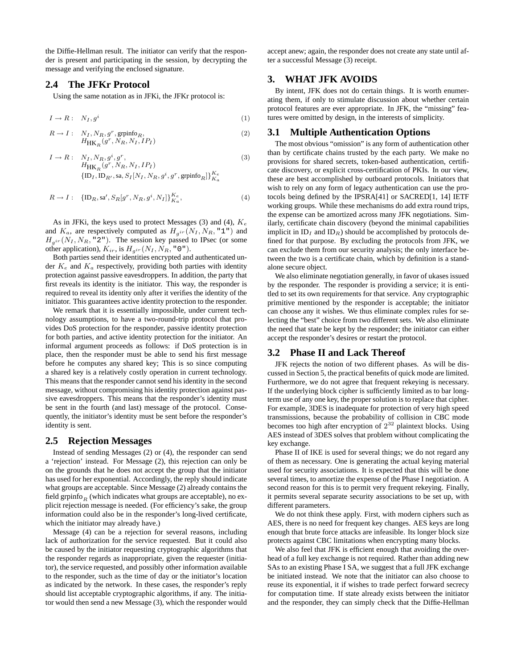the Diffie-Hellman result. The initiator can verify that the responder is present and participating in the session, by decrypting the message and verifying the enclosed signature.

#### **2.4 The JFKr Protocol**

Using the same notation as in JFKi, the JFKr protocol is:

$$
I \to R: N_I, g^i \tag{1}
$$

$$
R \to I: \quad N_I, N_R, g^r, \text{gppinfo}_R, \nH_{\text{HK}_R}(g^r, N_R, N_I, IP_I)
$$
\n(2)

$$
I \rightarrow R: \quad N_I, N_R, g^i, g^r,
$$
  
\n
$$
H_{\text{HK}_R}(g^r, N_R, N_I, IP_I)
$$
  
\n
$$
\{ \text{ID}_I, \text{ID}_{R'}, \text{sa}, S_I[N_I, N_R, g^i, g^r, \text{gspinfo}_R] \}_{K_a}^{K_e}
$$
\n(3)

$$
R \to I: \quad {\{\text{ID}_R, \text{sa}', S_R[g^r, N_R, g^i, N_I]\}}_{K_a}^{K_e},\tag{4}
$$

As in JFKi, the keys used to protect Messages (3) and (4),  $K_e$ and  $K_a$ , are respectively computed as  $H_{gir}(N_I, N_R, "1")$  and  $H_{qir} (N_I, N_R, "2")$ . The session key passed to IPsec (or some other application),  $K_{ir}$ , is  $H_{gir}(N_I, N_R, "0")$ .

Both parties send their identities encrypted and authenticated under  $K_e$  and  $K_a$  respectively, providing both parties with identity protection against passive eavesdroppers. In addition, the party that first reveals its identity is the initiator. This way, the responder is required to reveal its identity only after it verifies the identity of the initiator. This guarantees active identity protection to the responder.

We remark that it is essentially impossible, under current technology assumptions, to have a two-round-trip protocol that provides DoS protection for the responder, passive identity protection for both parties, and active identity protection for the initiator. An informal argument proceeds as follows: if DoS protection is in place, then the responder must be able to send his first message before he computes any shared key; This is so since computing a shared key is a relatively costly operation in current technology. This means that the responder cannot send his identity in the second message, without compromising his identity protection against passive eavesdroppers. This means that the responder's identity must be sent in the fourth (and last) message of the protocol. Consequently, the initiator's identity must be sent before the responder's identity is sent.

#### **2.5 Rejection Messages**

Instead of sending Messages (2) or (4), the responder can send a 'rejection' instead. For Message (2), this rejection can only be on the grounds that he does not accept the group that the initiator has used for her exponential. Accordingly, the reply should indicate what groups are acceptable. Since Message (2) already contains the field grpinfo $_R$  (which indicates what groups are acceptable), no explicit rejection message is needed. (For efficiency's sake, the group information could also be in the responder's long-lived certificate, which the initiator may already have.)

Message (4) can be a rejection for several reasons, including lack of authorization for the service requested. But it could also be caused by the initiator requesting cryptographic algorithms that the responder regards as inappropriate, given the requester (initiator), the service requested, and possibly other information available to the responder, such as the time of day or the initiator's location as indicated by the network. In these cases, the responder's reply should list acceptable cryptographic algorithms, if any. The initiator would then send a new Message (3), which the responder would accept anew; again, the responder does not create any state until after a successful Message (3) receipt.

# **3. WHAT JFK AVOIDS**

By intent, JFK does not do certain things. It is worth enumerating them, if only to stimulate discussion about whether certain protocol features are ever appropriate. In JFK, the "missing" features were omitted by design, in the interests of simplicity.

#### **3.1 Multiple Authentication Options**

The most obvious "omission" is any form of authentication other than by certificate chains trusted by the each party. We make no provisions for shared secrets, token-based authentication, certificate discovery, or explicit cross-certification of PKIs. In our view, these are best accomplished by outboard protocols. Initiators that wish to rely on any form of legacy authentication can use the protocols being defined by the IPSRA[41] or SACRED[1, 14] IETF working groups. While these mechanisms do add extra round trips, the expense can be amortized across many JFK negotiations. Similarly, certificate chain discovery (beyond the minimal capabilities implicit in  $ID_I$  and  $ID_R$ ) should be accomplished by protocols defined for that purpose. By excluding the protocols from JFK, we can exclude them from our security analysis; the only interface between the two is a certificate chain, which by definition is a standalone secure object.

We also eliminate negotiation generally, in favor of ukases issued by the responder. The responder is providing a service; it is entitled to set its own requirements for that service. Any cryptographic primitive mentioned by the responder is acceptable; the initiator can choose any it wishes. We thus eliminate complex rules for selecting the "best" choice from two different sets. We also eliminate the need that state be kept by the responder; the initiator can either accept the responder's desires or restart the protocol.

## **3.2 Phase II and Lack Thereof**

JFK rejects the notion of two different phases. As will be discussed in Section 5, the practical benefits of quick mode are limited. Furthermore, we do not agree that frequent rekeying is necessary. If the underlying block cipher is sufficiently limited as to bar longterm use of any one key, the proper solution is to replace that cipher. For example, 3DES is inadequate for protection of very high speed transmissions, because the probability of collision in CBC mode becomes too high after encryption of  $2^{32}$  plaintext blocks. Using AES instead of 3DES solves that problem without complicating the key exchange.

Phase II of IKE is used for several things; we do not regard any of them as necessary. One is generating the actual keying material used for security associations. It is expected that this will be done several times, to amortize the expense of the Phase I negotiation. A second reason for this is to permit very frequent rekeying. Finally, it permits several separate security associations to be set up, with different parameters.

We do not think these apply. First, with modern ciphers such as AES, there is no need for frequent key changes. AES keys are long enough that brute force attacks are infeasible. Its longer block size protects against CBC limitations when encrypting many blocks.

We also feel that JFK is efficient enough that avoiding the overhead of a full key exchange is not required. Rather than adding new SAs to an existing Phase I SA, we suggest that a full JFK exchange be initiated instead. We note that the initiator can also choose to reuse its exponential, it if wishes to trade perfect forward secrecy for computation time. If state already exists between the initiator and the responder, they can simply check that the Diffie-Hellman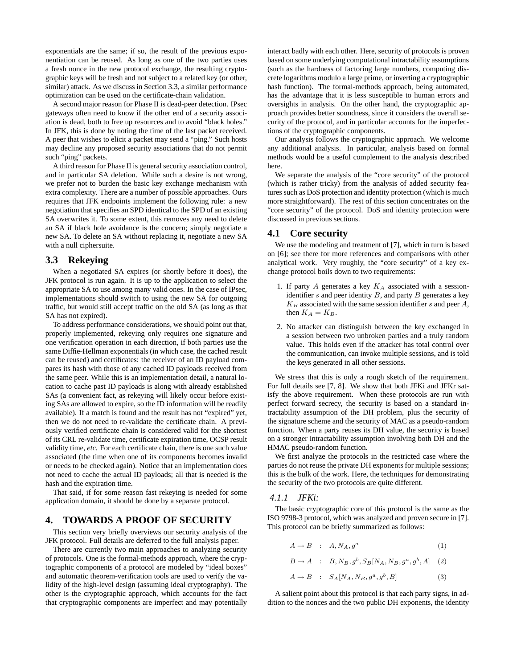exponentials are the same; if so, the result of the previous exponentiation can be reused. As long as one of the two parties uses a fresh nonce in the new protocol exchange, the resulting cryptographic keys will be fresh and not subject to a related key (or other, similar) attack. As we discuss in Section 3.3, a similar performance optimization can be used on the certificate-chain validation.

A second major reason for Phase II is dead-peer detection. IPsec gateways often need to know if the other end of a security association is dead, both to free up resources and to avoid "black holes." In JFK, this is done by noting the time of the last packet received. A peer that wishes to elicit a packet may send a "ping." Such hosts may decline any proposed security associations that do not permit such "ping" packets.

A third reason for Phase II is general security association control, and in particular SA deletion. While such a desire is not wrong, we prefer not to burden the basic key exchange mechanism with extra complexity. There are a number of possible approaches. Ours requires that JFK endpoints implement the following rule: a new negotiation that specifies an SPD identical to the SPD of an existing SA overwrites it. To some extent, this removes any need to delete an SA if black hole avoidance is the concern; simply negotiate a new SA. To delete an SA without replacing it, negotiate a new SA with a null ciphersuite.

#### **3.3 Rekeying**

When a negotiated SA expires (or shortly before it does), the JFK protocol is run again. It is up to the application to select the appropriate SA to use among many valid ones. In the case of IPsec, implementations should switch to using the new SA for outgoing traffic, but would still accept traffic on the old SA (as long as that SA has not expired).

To address performance considerations, we should point out that, properly implemented, rekeying only requires one signature and one verification operation in each direction, if both parties use the same Diffie-Hellman exponentials (in which case, the cached result can be reused) and certificates: the receiver of an ID payload compares its hash with those of any cached ID payloads received from the same peer. While this is an implementation detail, a natural location to cache past ID payloads is along with already established SAs (a convenient fact, as rekeying will likely occur before existing SAs are allowed to expire, so the ID information will be readily available). If a match is found and the result has not "expired" yet, then we do not need to re-validate the certificate chain. A previously verified certificate chain is considered valid for the shortest of its CRL re-validate time, certificate expiration time, OCSP result validity time, *etc.* For each certificate chain, there is one such value associated (the time when one of its components becomes invalid or needs to be checked again). Notice that an implementation does not need to cache the actual ID payloads; all that is needed is the hash and the expiration time.

That said, if for some reason fast rekeying is needed for some application domain, it should be done by a separate protocol.

#### **4. TOWARDS A PROOF OF SECURITY**

This section very briefly overviews our security analysis of the JFK protocol. Full details are deferred to the full analysis paper.

There are currently two main approaches to analyzing security of protocols. One is the formal-methods approach, where the cryptographic components of a protocol are modeled by "ideal boxes" and automatic theorem-verification tools are used to verify the validity of the high-level design (assuming ideal cryptography). The other is the cryptographic approach, which accounts for the fact that cryptographic components are imperfect and may potentially

interact badly with each other. Here, security of protocols is proven based on some underlying computational intractability assumptions (such as the hardness of factoring large numbers, computing discrete logarithms modulo a large prime, or inverting a cryptographic hash function). The formal-methods approach, being automated, has the advantage that it is less susceptible to human errors and oversights in analysis. On the other hand, the cryptographic approach provides better soundness, since it considers the overall security of the protocol, and in particular accounts for the imperfections of the cryptographic components.

Our analysis follows the cryptographic approach. We welcome any additional analysis. In particular, analysis based on formal methods would be a useful complement to the analysis described here.

We separate the analysis of the "core security" of the protocol (which is rather tricky) from the analysis of added security features such as DoS protection and identity protection (which is much more straightforward). The rest of this section concentrates on the "core security" of the protocol. DoS and identity protection were discussed in previous sections.

#### **4.1 Core security**

We use the modeling and treatment of [7], which in turn is based on [6]; see there for more references and comparisons with other analytical work. Very roughly, the "core security" of a key exchange protocol boils down to two requirements:

- 1. If party  $A$  generates a key  $K_A$  associated with a sessionidentifier  $s$  and peer identity  $B$ , and party  $B$  generates a key  $K_B$  associated with the same session identifier s and peer A, then  $K_A = K_B$ .
- 2. No attacker can distinguish between the key exchanged in a session between two unbroken parties and a truly random value. This holds even if the attacker has total control over the communication, can invoke multiple sessions, and is told the keys generated in all other sessions.

We stress that this is only a rough sketch of the requirement. For full details see [7, 8]. We show that both JFKi and JFKr satisfy the above requirement. When these protocols are run with perfect forward secrecy, the security is based on a standard intractability assumption of the DH problem, plus the security of the signature scheme and the security of MAC as a pseudo-random function. When a party reuses its DH value, the security is based on a stronger intractability assumption involving both DH and the HMAC pseudo-random function.

We first analyze the protocols in the restricted case where the parties do not reuse the private DH exponents for multiple sessions; this is the bulk of the work. Here, the techniques for demonstrating the security of the two protocols are quite different.

#### *4.1.1 JFKi:*

The basic cryptographic core of this protocol is the same as the ISO 9798-3 protocol, which was analyzed and proven secure in [7]. This protocol can be briefly summarized as follows:

$$
A \to B \quad : \quad A, N_A, g^a \tag{1}
$$

$$
B \to A \quad : \quad B, N_B, g^b, S_B[N_A, N_B, g^a, g^b, A] \tag{2}
$$

$$
A \to B \quad : \quad S_A[N_A, N_B, g^a, g^b, B] \tag{3}
$$

A salient point about this protocol is that each party signs, in addition to the nonces and the two public DH exponents, the identity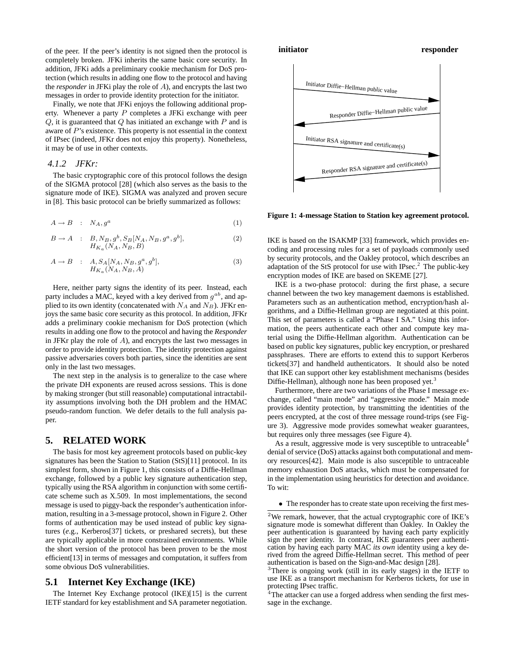of the peer. If the peer's identity is not signed then the protocol is completely broken. JFKi inherits the same basic core security. In addition, JFKi adds a preliminary cookie mechanism for DoS protection (which results in adding one flow to the protocol and having the *responder* in JFKi play the role of A), and encrypts the last two messages in order to provide identity protection for the initiator.

Finally, we note that JFKi enjoys the following additional property. Whenever a party  $P$  completes a JFKi exchange with peer  $Q$ , it is guaranteed that  $Q$  has initiated an exchange with  $P$  and is aware of P's existence. This property is not essential in the context of IPsec (indeed, JFKr does not enjoy this property). Nonetheless, it may be of use in other contexts.

#### *4.1.2 JFKr:*

The basic cryptographic core of this protocol follows the design of the SIGMA protocol [28] (which also serves as the basis to the signature mode of IKE). SIGMA was analyzed and proven secure in [8]. This basic protocol can be briefly summarized as follows:

$$
A \to B \quad : \quad N_A, g^a \tag{1}
$$

$$
B \to A : B, N_B, g^b, S_B[N_A, N_B, g^a, g^b],
$$
  
\n
$$
H_{K_a}(N_A, N_B, B)
$$
\n(2)

$$
A \to B : A, S_A[N_A, N_B, g^a, g^b],H_{K_a}(N_A, N_B, A)
$$
 (3)

Here, neither party signs the identity of its peer. Instead, each party includes a MAC, keyed with a key derived from  $g^{ab}$ , and applied to its own identity (concatenated with  $N_A$  and  $N_B$ ). JFKr enjoys the same basic core security as this protocol. In addition, JFKr adds a preliminary cookie mechanism for DoS protection (which results in adding one flow to the protocol and having the *Responder* in JFKr play the role of  $A$ ), and encrypts the last two messages in order to provide identity protection. The identity protection against passive adversaries covers both parties, since the identities are sent only in the last two messages.

The next step in the analysis is to generalize to the case where the private DH exponents are reused across sessions. This is done by making stronger (but still reasonable) computational intractability assumptions involving both the DH problem and the HMAC pseudo-random function. We defer details to the full analysis paper.

#### **5. RELATED WORK**

The basis for most key agreement protocols based on public-key signatures has been the Station to Station (StS)[11] protocol. In its simplest form, shown in Figure 1, this consists of a Diffie-Hellman exchange, followed by a public key signature authentication step, typically using the RSA algorithm in conjunction with some certificate scheme such as X.509. In most implementations, the second message is used to piggy-back the responder's authentication information, resulting in a 3-message protocol, shown in Figure 2. Other forms of authentication may be used instead of public key signatures (*e*.g., Kerberos[37] tickets, or preshared secrets), but these are typically applicable in more constrained environments. While the short version of the protocol has been proven to be the most efficient[13] in terms of messages and computation, it suffers from some obvious DoS vulnerabilities.

#### **5.1 Internet Key Exchange (IKE)**

The Internet Key Exchange protocol (IKE)[15] is the current IETF standard for key establishment and SA parameter negotiation.

**initiator responder**



**Figure 1: 4-message Station to Station key agreement protocol.**

IKE is based on the ISAKMP [33] framework, which provides encoding and processing rules for a set of payloads commonly used by security protocols, and the Oakley protocol, which describes an adaptation of the StS protocol for use with  $IPsec<sup>2</sup>$ . The public-key encryption modes of IKE are based on SKEME [27].

IKE is a two-phase protocol: during the first phase, a secure channel between the two key management daemons is established. Parameters such as an authentication method, encryption/hash algorithms, and a Diffie-Hellman group are negotiated at this point. This set of parameters is called a "Phase I SA." Using this information, the peers authenticate each other and compute key material using the Diffie-Hellman algorithm. Authentication can be based on public key signatures, public key encryption, or preshared passphrases. There are efforts to extend this to support Kerberos tickets[37] and handheld authenticators. It should also be noted that IKE can support other key establishment mechanisms (besides Diffie-Hellman), although none has been proposed yet.<sup>3</sup>

Furthermore, there are two variations of the Phase I message exchange, called "main mode" and "aggressive mode." Main mode provides identity protection, by transmitting the identities of the peers encrypted, at the cost of three message round-trips (see Figure 3). Aggressive mode provides somewhat weaker guarantees, but requires only three messages (see Figure 4).

As a result, aggressive mode is very susceptible to untraceable<sup>4</sup> denial of service  $(DoS)$  attacks against both computational and memory resources[42]. Main mode is also susceptible to untraceable memory exhaustion DoS attacks, which must be compensated for in the implementation using heuristics for detection and avoidance. To wit:

<sup>•</sup> The responder has to create state upon receiving the first mes-

<sup>2</sup>We remark, however, that the actual cryptographic core of IKE's signature mode is somewhat different than Oakley. In Oakley the peer authentication is guaranteed by having each party explicitly sign the peer identity. In contrast, IKE guarantees peer authentication by having each party MAC *its own* identity using a key derived from the agreed Diffie-Hellman secret. This method of peer authentication is based on the Sign-and-Mac design [28].

<sup>3</sup>There is ongoing work (still in its early stages) in the IETF to use IKE as a transport mechanism for Kerberos tickets, for use in protecting IPsec traffic.<br><sup>4</sup>The attacker can use a forged address when sending the first mes-

sage in the exchange.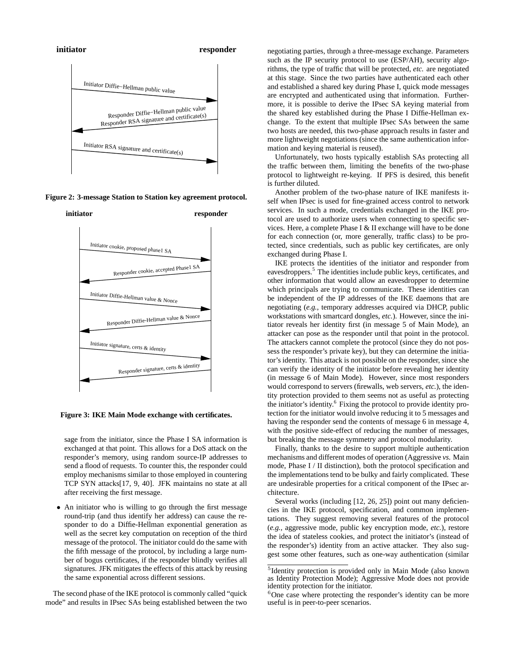

**Figure 2: 3-message Station to Station key agreement protocol.**



**Figure 3: IKE Main Mode exchange with certificates.**

sage from the initiator, since the Phase I SA information is exchanged at that point. This allows for a DoS attack on the responder's memory, using random source-IP addresses to send a flood of requests. To counter this, the responder could employ mechanisms similar to those employed in countering TCP SYN attacks[17, 9, 40]. JFK maintains no state at all after receiving the first message.

• An initiator who is willing to go through the first message round-trip (and thus identify her address) can cause the responder to do a Diffie-Hellman exponential generation as well as the secret key computation on reception of the third message of the protocol. The initiator could do the same with the fifth message of the protocol, by including a large number of bogus certificates, if the responder blindly verifies all signatures. JFK mitigates the effects of this attack by reusing the same exponential across different sessions.

The second phase of the IKE protocol is commonly called "quick mode" and results in IPsec SAs being established between the two negotiating parties, through a three-message exchange. Parameters such as the IP security protocol to use (ESP/AH), security algorithms, the type of traffic that will be protected, *etc.* are negotiated at this stage. Since the two parties have authenticated each other and established a shared key during Phase I, quick mode messages are encrypted and authenticated using that information. Furthermore, it is possible to derive the IPsec SA keying material from the shared key established during the Phase I Diffie-Hellman exchange. To the extent that multiple IPsec SAs between the same two hosts are needed, this two-phase approach results in faster and more lightweight negotiations (since the same authentication information and keying material is reused).

Unfortunately, two hosts typically establish SAs protecting all the traffic between them, limiting the benefits of the two-phase protocol to lightweight re-keying. If PFS is desired, this benefit is further diluted.

Another problem of the two-phase nature of IKE manifests itself when IPsec is used for fine-grained access control to network services. In such a mode, credentials exchanged in the IKE protocol are used to authorize users when connecting to specific services. Here, a complete Phase I & II exchange will have to be done for each connection (or, more generally, traffic class) to be protected, since credentials, such as public key certificates, are only exchanged during Phase I.

IKE protects the identities of the initiator and responder from eavesdroppers.<sup>5</sup> The identities include public keys, certificates, and other information that would allow an eavesdropper to determine which principals are trying to communicate. These identities can be independent of the IP addresses of the IKE daemons that are negotiating (*e.g.,* temporary addresses acquired via DHCP, public workstations with smartcard dongles, *etc.*). However, since the initiator reveals her identity first (in message 5 of Main Mode), an attacker can pose as the responder until that point in the protocol. The attackers cannot complete the protocol (since they do not possess the responder's private key), but they can determine the initiator's identity. This attack is not possible on the responder, since she can verify the identity of the initiator before revealing her identity (in message 6 of Main Mode). However, since most responders would correspond to servers (firewalls, web servers, *etc.*), the identity protection provided to them seems not as useful as protecting the initiator's identity. 6 Fixing the protocol to provide identity protection for the initiator would involve reducing it to 5 messages and having the responder send the contents of message 6 in message 4, with the positive side-effect of reducing the number of messages, but breaking the message symmetry and protocol modularity.

Finally, thanks to the desire to support multiple authentication mechanisms and different modes of operation (Aggressive *vs.* Main mode, Phase I / II distinction), both the protocol specification and the implementations tend to be bulky and fairly complicated. These are undesirable properties for a critical component of the IPsec architecture.

Several works (including [12, 26, 25]) point out many deficiencies in the IKE protocol, specification, and common implementations. They suggest removing several features of the protocol (*e.g.,* aggressive mode, public key encryption mode, *etc.*), restore the idea of stateless cookies, and protect the initiator's (instead of the responder's) identity from an active attacker. They also suggest some other features, such as one-way authentication (similar

<sup>5</sup> Identity protection is provided only in Main Mode (also known as Identity Protection Mode); Aggressive Mode does not provide identity protection for the initiator.

 $6$ One case where protecting the responder's identity can be more useful is in peer-to-peer scenarios.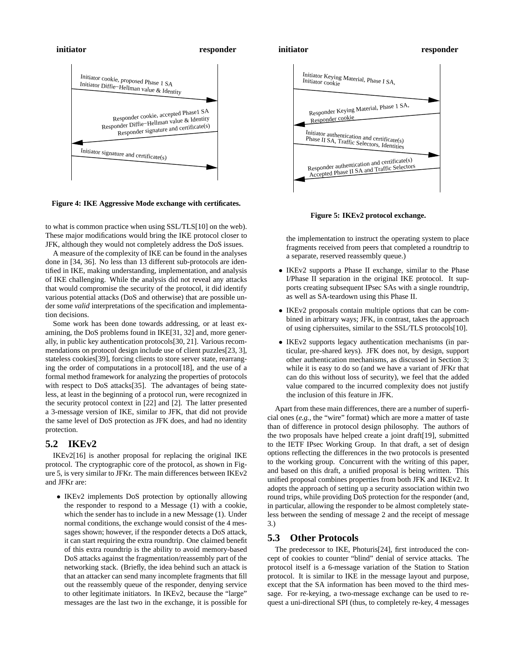

**Figure 4: IKE Aggressive Mode exchange with certificates.**

to what is common practice when using SSL/TLS[10] on the web). These major modifications would bring the IKE protocol closer to JFK, although they would not completely address the DoS issues.

A measure of the complexity of IKE can be found in the analyses done in [34, 36]. No less than 13 different sub-protocols are identified in IKE, making understanding, implementation, and analysis of IKE challenging. While the analysis did not reveal any attacks that would compromise the security of the protocol, it did identify various potential attacks (DoS and otherwise) that are possible under some *valid* interpretations of the specification and implementation decisions.

Some work has been done towards addressing, or at least examining, the DoS problems found in IKE[31, 32] and, more generally, in public key authentication protocols[30, 21]. Various recommendations on protocol design include use of client puzzles[23, 3], stateless cookies[39], forcing clients to store server state, rearranging the order of computations in a protocol[18], and the use of a formal method framework for analyzing the properties of protocols with respect to DoS attacks[35]. The advantages of being stateless, at least in the beginning of a protocol run, were recognized in the security protocol context in [22] and [2]. The latter presented a 3-message version of IKE, similar to JFK, that did not provide the same level of DoS protection as JFK does, and had no identity protection.

#### **5.2 IKEv2**

IKEv2[16] is another proposal for replacing the original IKE protocol. The cryptographic core of the protocol, as shown in Figure 5, is very similar to JFKr. The main differences between IKEv2 and JFKr are:

• IKEv2 implements DoS protection by optionally allowing the responder to respond to a Message (1) with a cookie, which the sender has to include in a new Message (1). Under normal conditions, the exchange would consist of the 4 messages shown; however, if the responder detects a DoS attack, it can start requiring the extra roundtrip. One claimed benefit of this extra roundtrip is the ability to avoid memory-based DoS attacks against the fragmentation/reassembly part of the networking stack. (Briefly, the idea behind such an attack is that an attacker can send many incomplete fragments that fill out the reassembly queue of the responder, denying service to other legitimate initiators. In IKEv2, because the "large" messages are the last two in the exchange, it is possible for

Responder authentication and certificate(s) **initiator responder** Initiator Keying Material, Phase I SA, Initiator cookie Responder Keying Material, Phase 1 SA, Responder cookie Initiator authentication and certificate(s)<br>Phase II SA, Traffic Selectors, Identities Accepted Phase II SA and Traffic Selectors

**Figure 5: IKEv2 protocol exchange.**

the implementation to instruct the operating system to place fragments received from peers that completed a roundtrip to a separate, reserved reassembly queue.)

- IKEv2 supports a Phase II exchange, similar to the Phase I/Phase II separation in the original IKE protocol. It supports creating subsequent IPsec SAs with a single roundtrip, as well as SA-teardown using this Phase II.
- IKEv2 proposals contain multiple options that can be combined in arbitrary ways; JFK, in contrast, takes the approach of using ciphersuites, similar to the SSL/TLS protocols[10].
- IKEv2 supports legacy authentication mechanisms (in particular, pre-shared keys). JFK does not, by design, support other authentication mechanisms, as discussed in Section 3; while it is easy to do so (and we have a variant of JFKr that can do this without loss of security), we feel that the added value compared to the incurred complexity does not justify the inclusion of this feature in JFK.

Apart from these main differences, there are a number of superficial ones (*e.g.,* the "wire" format) which are more a matter of taste than of difference in protocol design philosophy. The authors of the two proposals have helped create a joint draft[19], submitted to the IETF IPsec Working Group. In that draft, a set of design options reflecting the differences in the two protocols is presented to the working group. Concurrent with the writing of this paper, and based on this draft, a unified proposal is being written. This unified proposal combines properties from both JFK and IKEv2. It adopts the approach of setting up a security association within two round trips, while providing DoS protection for the responder (and, in particular, allowing the responder to be almost completely stateless between the sending of message 2 and the receipt of message 3.)

#### **5.3 Other Protocols**

The predecessor to IKE, Photuris[24], first introduced the concept of cookies to counter "blind" denial of service attacks. The protocol itself is a 6-message variation of the Station to Station protocol. It is similar to IKE in the message layout and purpose, except that the SA information has been moved to the third message. For re-keying, a two-message exchange can be used to request a uni-directional SPI (thus, to completely re-key, 4 messages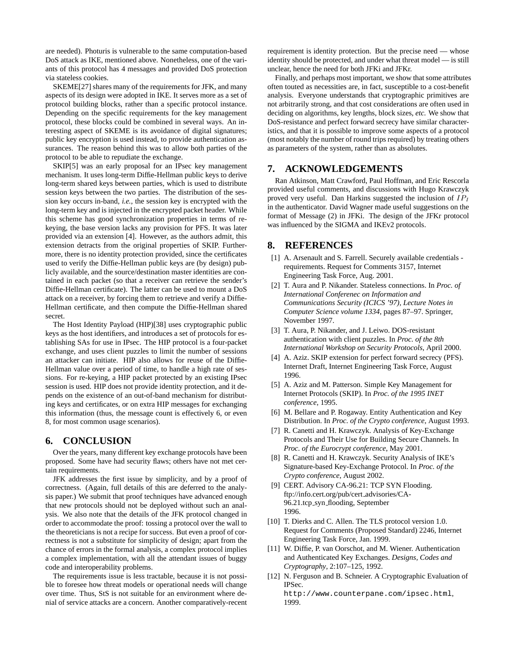are needed). Photuris is vulnerable to the same computation-based DoS attack as IKE, mentioned above. Nonetheless, one of the variants of this protocol has 4 messages and provided DoS protection via stateless cookies.

SKEME[27] shares many of the requirements for JFK, and many aspects of its design were adopted in IKE. It serves more as a set of protocol building blocks, rather than a specific protocol instance. Depending on the specific requirements for the key management protocol, these blocks could be combined in several ways. An interesting aspect of SKEME is its avoidance of digital signatures; public key encryption is used instead, to provide authentication assurances. The reason behind this was to allow both parties of the protocol to be able to repudiate the exchange.

SKIP[5] was an early proposal for an IPsec key management mechanism. It uses long-term Diffie-Hellman public keys to derive long-term shared keys between parties, which is used to distribute session keys between the two parties. The distribution of the session key occurs in-band, *i.e.,* the session key is encrypted with the long-term key and is injected in the encrypted packet header. While this scheme has good synchronization properties in terms of rekeying, the base version lacks any provision for PFS. It was later provided via an extension [4]. However, as the authors admit, this extension detracts from the original properties of SKIP. Furthermore, there is no identity protection provided, since the certificates used to verify the Diffie-Hellman public keys are (by design) publicly available, and the source/destination master identities are contained in each packet (so that a receiver can retrieve the sender's Diffie-Hellman certificate). The latter can be used to mount a DoS attack on a receiver, by forcing them to retrieve and verify a Diffie-Hellman certificate, and then compute the Diffie-Hellman shared secret.

The Host Identity Payload (HIP)[38] uses cryptographic public keys as the host identifiers, and introduces a set of protocols for establishing SAs for use in IPsec. The HIP protocol is a four-packet exchange, and uses client puzzles to limit the number of sessions an attacker can initiate. HIP also allows for reuse of the Diffie-Hellman value over a period of time, to handle a high rate of sessions. For re-keying, a HIP packet protected by an existing IPsec session is used. HIP does not provide identity protection, and it depends on the existence of an out-of-band mechanism for distributing keys and certificates, or on extra HIP messages for exchanging this information (thus, the message count is effectively 6, or even 8, for most common usage scenarios).

#### **6. CONCLUSION**

Over the years, many different key exchange protocols have been proposed. Some have had security flaws; others have not met certain requirements.

JFK addresses the first issue by simplicity, and by a proof of correctness. (Again, full details of this are deferred to the analysis paper.) We submit that proof techniques have advanced enough that new protocols should not be deployed without such an analysis. We also note that the details of the JFK protocol changed in order to accommodate the proof: tossing a protocol over the wall to the theoreticians is not a recipe for success. But even a proof of correctness is not a substitute for simplicity of design; apart from the chance of errors in the formal analysis, a complex protocol implies a complex implementation, with all the attendant issues of buggy code and interoperability problems.

The requirements issue is less tractable, because it is not possible to foresee how threat models or operational needs will change over time. Thus, StS is not suitable for an environment where denial of service attacks are a concern. Another comparatively-recent requirement is identity protection. But the precise need — whose identity should be protected, and under what threat model — is still unclear, hence the need for both JFKi and JFKr.

Finally, and perhaps most important, we show that some attributes often touted as necessities are, in fact, susceptible to a cost-benefit analysis. Everyone understands that cryptographic primitives are not arbitrarily strong, and that cost considerations are often used in deciding on algorithms, key lengths, block sizes, *etc.* We show that DoS-resistance and perfect forward secrecy have similar characteristics, and that it is possible to improve some aspects of a protocol (most notably the number of round trips required) by treating others as parameters of the system, rather than as absolutes.

# **7. ACKNOWLEDGEMENTS**

Ran Atkinson, Matt Crawford, Paul Hoffman, and Eric Rescorla provided useful comments, and discussions with Hugo Krawczyk proved very useful. Dan Harkins suggested the inclusion of  $IP<sub>I</sub>$ in the authenticator. David Wagner made useful suggestions on the format of Message (2) in JFKi. The design of the JFKr protocol was influenced by the SIGMA and IKEv2 protocols.

# **8. REFERENCES**

- [1] A. Arsenault and S. Farrell. Securely available credentials requirements. Request for Comments 3157, Internet Engineering Task Force, Aug. 2001.
- [2] T. Aura and P. Nikander. Stateless connections. In *Proc. of International Conferenec on Information and Communications Security (ICICS '97), Lecture Notes in Computer Science volume 1334*, pages 87–97. Springer, November 1997.
- [3] T. Aura, P. Nikander, and J. Leiwo. DOS-resistant authentication with client puzzles. In *Proc. of the 8th International Workshop on Security Protocols*, April 2000.
- [4] A. Aziz. SKIP extension for perfect forward secrecy (PFS). Internet Draft, Internet Engineering Task Force, August 1996.
- [5] A. Aziz and M. Patterson. Simple Key Management for Internet Protocols (SKIP). In *Proc. of the 1995 INET conference*, 1995.
- [6] M. Bellare and P. Rogaway. Entity Authentication and Key Distribution. In *Proc. of the Crypto conference*, August 1993.
- [7] R. Canetti and H. Krawczyk. Analysis of Key-Exchange Protocols and Their Use for Building Secure Channels. In *Proc. of the Eurocrypt conference*, May 2001.
- [8] R. Canetti and H. Krawczyk. Security Analysis of IKE's Signature-based Key-Exchange Protocol. In *Proc. of the Crypto conference*, August 2002.
- [9] CERT. Advisory CA-96.21: TCP SYN Flooding. ftp://info.cert.org/pub/cert advisories/CA-96.21.tcp syn flooding, September 1996.
- [10] T. Dierks and C. Allen. The TLS protocol version 1.0. Request for Comments (Proposed Standard) 2246, Internet Engineering Task Force, Jan. 1999.
- [11] W. Diffie, P. van Oorschot, and M. Wiener. Authentication and Authenticated Key Exchanges. *Designs, Codes and Cryptography*, 2:107–125, 1992.
- [12] N. Ferguson and B. Schneier. A Cryptographic Evaluation of IPSec.

http://www.counterpane.com/ipsec.html, 1999.